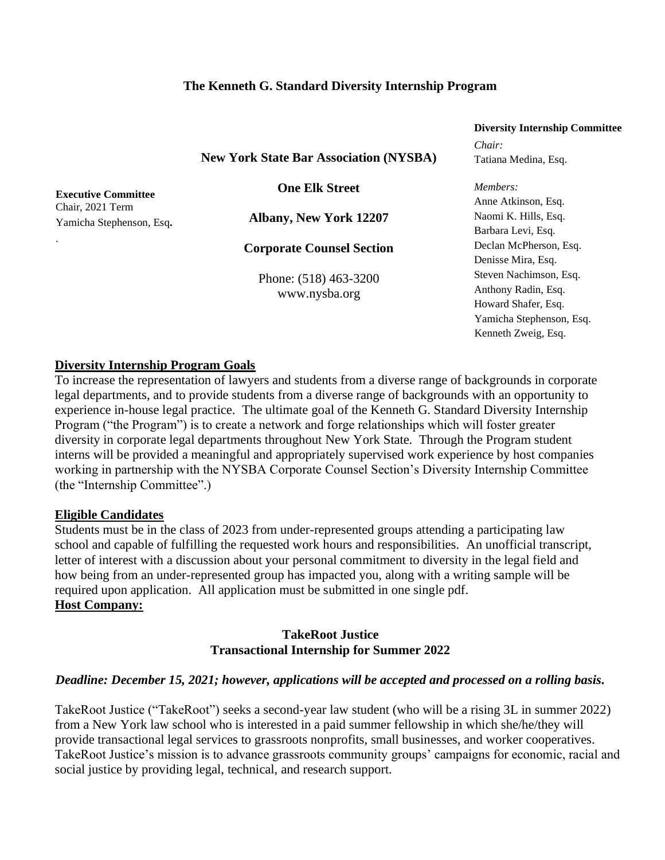### **The Kenneth G. Standard Diversity Internship Program**

|                                               | Diversity much asimp community |
|-----------------------------------------------|--------------------------------|
|                                               | Chair:                         |
| <b>New York State Bar Association (NYSBA)</b> | Tatiana Medina, Esq.           |
| <b>One Elk Street</b>                         | Members:                       |
|                                               | Anne Atkinson, Esq.            |
| <b>Albany, New York 12207</b>                 | Naomi K. Hills, Esq.           |
|                                               | Barbara Levi, Esq.             |
| <b>Corporate Counsel Section</b>              | Declan McPherson, Esq.         |
|                                               | Denisse Mira, Esq.             |
| Phone: (518) 463-3200<br>www.nysba.org        | Steven Nachimson, Esq.         |
|                                               | Anthony Radin, Esq.            |
|                                               | Howard Shafer, Esq.            |
|                                               | Yamicha Stephenson, Esq.       |
|                                               | Kenneth Zweig, Esq.            |
|                                               |                                |

**Diversity Internship Committee**

**Executive Committee** Chair, 2021 Term Yamicha Stephenson, Esq**.**

.

**Diversity Internship Program Goals**

To increase the representation of lawyers and students from a diverse range of backgrounds in corporate legal departments, and to provide students from a diverse range of backgrounds with an opportunity to experience in-house legal practice. The ultimate goal of the Kenneth G. Standard Diversity Internship Program ("the Program") is to create a network and forge relationships which will foster greater diversity in corporate legal departments throughout New York State. Through the Program student interns will be provided a meaningful and appropriately supervised work experience by host companies working in partnership with the NYSBA Corporate Counsel Section's Diversity Internship Committee (the "Internship Committee".)

#### **Eligible Candidates**

Students must be in the class of 2023 from under-represented groups attending a participating law school and capable of fulfilling the requested work hours and responsibilities. An unofficial transcript, letter of interest with a discussion about your personal commitment to diversity in the legal field and how being from an under-represented group has impacted you, along with a writing sample will be required upon application.All application must be submitted in one single pdf. **Host Company:** 

#### **TakeRoot Justice Transactional Internship for Summer 2022**

#### *Deadline: December 15, 2021; however, applications will be accepted and processed on a rolling basis.*

TakeRoot Justice ("TakeRoot") seeks a second-year law student (who will be a rising 3L in summer 2022) from a New York law school who is interested in a paid summer fellowship in which she/he/they will provide transactional legal services to grassroots nonprofits, small businesses, and worker cooperatives. TakeRoot Justice's mission is to advance grassroots community groups' campaigns for economic, racial and social justice by providing legal, technical, and research support.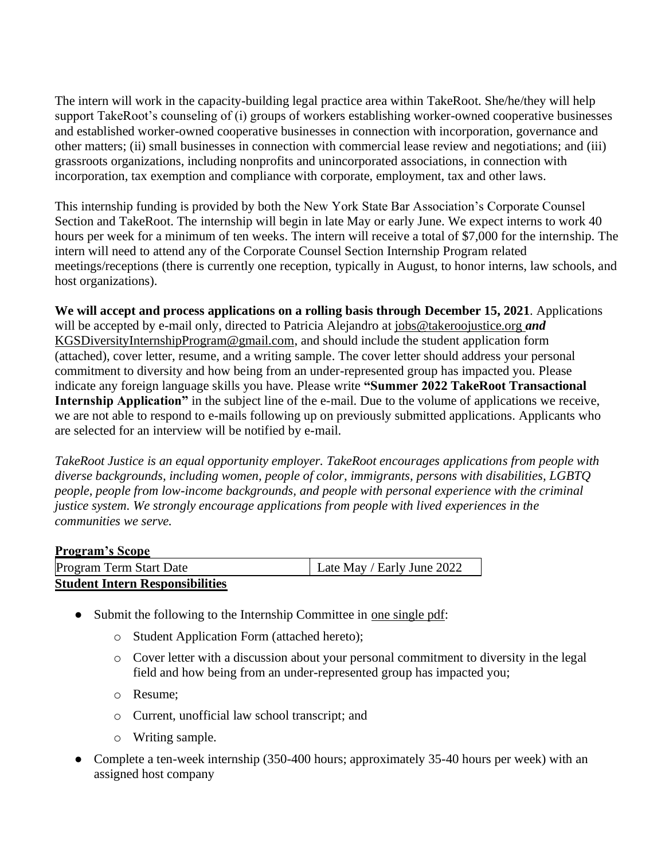The intern will work in the capacity-building legal practice area within TakeRoot. She/he/they will help support TakeRoot's counseling of (i) groups of workers establishing worker-owned cooperative businesses and established worker-owned cooperative businesses in connection with incorporation, governance and other matters; (ii) small businesses in connection with commercial lease review and negotiations; and (iii) grassroots organizations, including nonprofits and unincorporated associations, in connection with incorporation, tax exemption and compliance with corporate, employment, tax and other laws.

This internship funding is provided by both the New York State Bar Association's Corporate Counsel Section and TakeRoot. The internship will begin in late May or early June. We expect interns to work 40 hours per week for a minimum of ten weeks. The intern will receive a total of \$7,000 for the internship. The intern will need to attend any of the Corporate Counsel Section Internship Program related meetings/receptions (there is currently one reception, typically in August, to honor interns, law schools, and host organizations).

**We will accept and process applications on a rolling basis through December 15, 2021**. Applications will be accepted by e-mail only, directed to Patricia Alejandro at jobs@takeroojustice.org *and*  KGSDiversityInternshipProgram@gmail.com, and should include the student application form (attached), cover letter, resume, and a writing sample. The cover letter should address your personal commitment to diversity and how being from an under-represented group has impacted you. Please indicate any foreign language skills you have. Please write **"Summer 2022 TakeRoot Transactional Internship Application**" in the subject line of the e-mail. Due to the volume of applications we receive, we are not able to respond to e-mails following up on previously submitted applications. Applicants who are selected for an interview will be notified by e-mail.

*TakeRoot Justice is an equal opportunity employer. TakeRoot encourages applications from people with diverse backgrounds, including women, people of color, immigrants, persons with disabilities, LGBTQ people, people from low-income backgrounds, and people with personal experience with the criminal justice system. We strongly encourage applications from people with lived experiences in the communities we serve.*

#### **Program's Scope**

| Program Term Start Date                | Late May / Early June 2022 |
|----------------------------------------|----------------------------|
| <b>Student Intern Responsibilities</b> |                            |

- Submit the following to the Internship Committee in <u>one single pdf</u>:
	- o Student Application Form (attached hereto);
	- o Cover letter with a discussion about your personal commitment to diversity in the legal field and how being from an under-represented group has impacted you;
	- o Resume;
	- o Current, unofficial law school transcript; and
	- o Writing sample.
- Complete a ten-week internship (350-400 hours; approximately 35-40 hours per week) with an assigned host company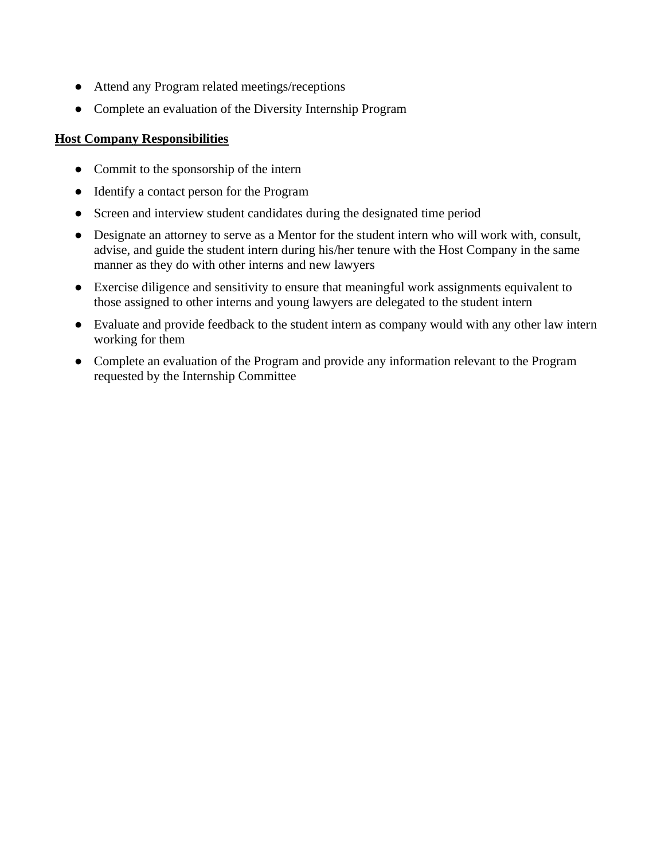- Attend any Program related meetings/receptions
- Complete an evaluation of the Diversity Internship Program

## **Host Company Responsibilities**

- Commit to the sponsorship of the intern
- Identify a contact person for the Program
- Screen and interview student candidates during the designated time period
- Designate an attorney to serve as a Mentor for the student intern who will work with, consult, advise, and guide the student intern during his/her tenure with the Host Company in the same manner as they do with other interns and new lawyers
- Exercise diligence and sensitivity to ensure that meaningful work assignments equivalent to those assigned to other interns and young lawyers are delegated to the student intern
- Evaluate and provide feedback to the student intern as company would with any other law intern working for them
- Complete an evaluation of the Program and provide any information relevant to the Program requested by the Internship Committee